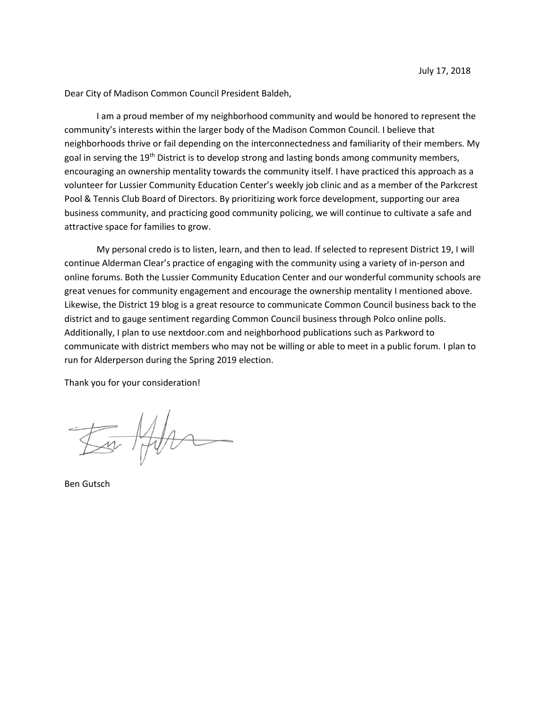Dear City of Madison Common Council President Baldeh,

I am a proud member of my neighborhood community and would be honored to represent the community's interests within the larger body of the Madison Common Council. I believe that neighborhoods thrive or fail depending on the interconnectedness and familiarity of their members. My goal in serving the 19<sup>th</sup> District is to develop strong and lasting bonds among community members, encouraging an ownership mentality towards the community itself. I have practiced this approach as a volunteer for Lussier Community Education Center's weekly job clinic and as a member of the Parkcrest Pool & Tennis Club Board of Directors. By prioritizing work force development, supporting our area business community, and practicing good community policing, we will continue to cultivate a safe and attractive space for families to grow.

My personal credo is to listen, learn, and then to lead. If selected to represent District 19, I will continue Alderman Clear's practice of engaging with the community using a variety of in-person and online forums. Both the Lussier Community Education Center and our wonderful community schools are great venues for community engagement and encourage the ownership mentality I mentioned above. Likewise, the District 19 blog is a great resource to communicate Common Council business back to the district and to gauge sentiment regarding Common Council business through Polco online polls. Additionally, I plan to use nextdoor.com and neighborhood publications such as Parkword to communicate with district members who may not be willing or able to meet in a public forum. I plan to run for Alderperson during the Spring 2019 election.

Thank you for your consideration!

to Ho

Ben Gutsch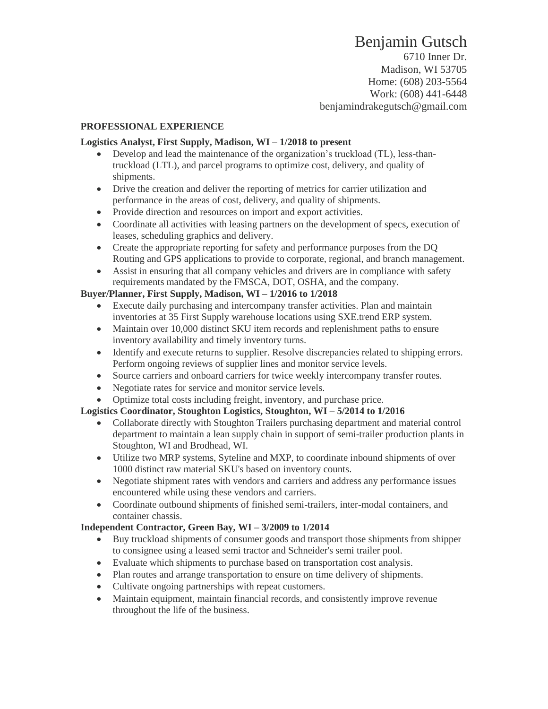# Benjamin Gutsch

6710 Inner Dr. Madison, WI 53705 Home: (608) 203-5564 Work: (608) 441-6448 benjamindrakegutsch@gmail.com

#### **PROFESSIONAL EXPERIENCE**

#### **Logistics Analyst, First Supply, Madison, WI – 1/2018 to present**

- Develop and lead the maintenance of the organization's truckload (TL), less-thantruckload (LTL), and parcel programs to optimize cost, delivery, and quality of shipments.
- Drive the creation and deliver the reporting of metrics for carrier utilization and performance in the areas of cost, delivery, and quality of shipments.
- Provide direction and resources on import and export activities.
- Coordinate all activities with leasing partners on the development of specs, execution of leases, scheduling graphics and delivery.
- Create the appropriate reporting for safety and performance purposes from the DQ Routing and GPS applications to provide to corporate, regional, and branch management.
- Assist in ensuring that all company vehicles and drivers are in compliance with safety requirements mandated by the FMSCA, DOT, OSHA, and the company.

## **Buyer/Planner, First Supply, Madison, WI – 1/2016 to 1/2018**

- Execute daily purchasing and intercompany transfer activities. Plan and maintain inventories at 35 First Supply warehouse locations using SXE.trend ERP system.
- Maintain over 10,000 distinct SKU item records and replenishment paths to ensure inventory availability and timely inventory turns.
- Identify and execute returns to supplier. Resolve discrepancies related to shipping errors. Perform ongoing reviews of supplier lines and monitor service levels.
- Source carriers and onboard carriers for twice weekly intercompany transfer routes.
- Negotiate rates for service and monitor service levels.
- Optimize total costs including freight, inventory, and purchase price.

# **Logistics Coordinator, Stoughton Logistics, Stoughton, WI – 5/2014 to 1/2016**

- Collaborate directly with Stoughton Trailers purchasing department and material control department to maintain a lean supply chain in support of semi-trailer production plants in Stoughton, WI and Brodhead, WI.
- Utilize two MRP systems, Syteline and MXP, to coordinate inbound shipments of over 1000 distinct raw material SKU's based on inventory counts.
- Negotiate shipment rates with vendors and carriers and address any performance issues encountered while using these vendors and carriers.
- Coordinate outbound shipments of finished semi-trailers, inter-modal containers, and container chassis.

#### **Independent Contractor, Green Bay, WI – 3/2009 to 1/2014**

- Buy truckload shipments of consumer goods and transport those shipments from shipper to consignee using a leased semi tractor and Schneider's semi trailer pool.
- Evaluate which shipments to purchase based on transportation cost analysis.
- Plan routes and arrange transportation to ensure on time delivery of shipments.
- Cultivate ongoing partnerships with repeat customers.
- Maintain equipment, maintain financial records, and consistently improve revenue throughout the life of the business.